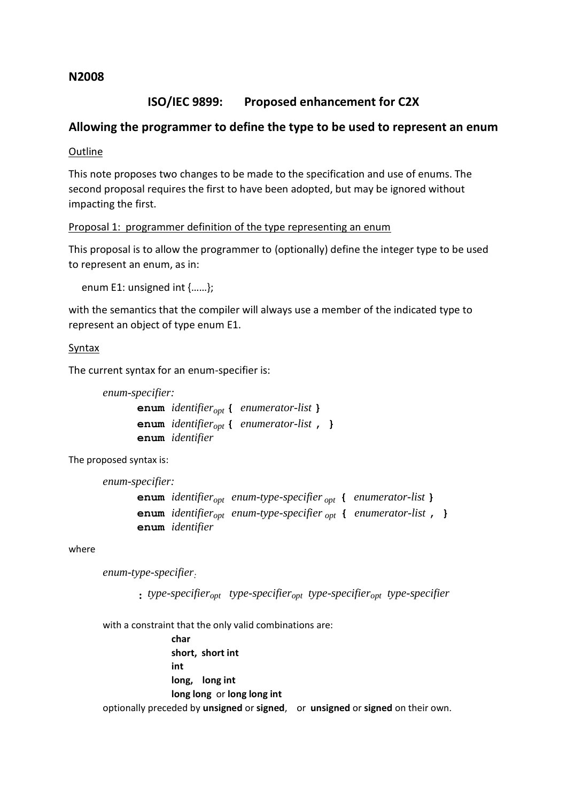## **N2008**

# **ISO/IEC 9899: Proposed enhancement for C2X**

## **Allowing the programmer to define the type to be used to represent an enum**

**Outline** 

This note proposes two changes to be made to the specification and use of enums. The second proposal requires the first to have been adopted, but may be ignored without impacting the first.

Proposal 1: programmer definition of the type representing an enum

This proposal is to allow the programmer to (optionally) define the integer type to be used to represent an enum, as in:

enum E1: unsigned int {……};

with the semantics that the compiler will always use a member of the indicated type to represent an object of type enum E1.

## **Syntax**

The current syntax for an enum-specifier is:

```
enum-specifier:
```
**enum** *identifieropt* **{** *enumerator-list* **} enum** *identifieropt* **{** *enumerator-list* **, } enum** *identifier*

The proposed syntax is:

```
enum-specifier:
```
**enum** *identifieropt enum-type-specifier opt* **{** *enumerator-list* **} enum** *identifieropt enum-type-specifier opt* **{** *enumerator-list* **, } enum** *identifier*

where

*enum-type-specifier:*

 **:** *type-specifieropt type-specifieropt type-specifieropt type-specifier*

with a constraint that the only valid combinations are:

**char short, short int int long, long int long long** or **long long int** optionally preceded by **unsigned** or **signed**, or **unsigned** or **signed** on their own.